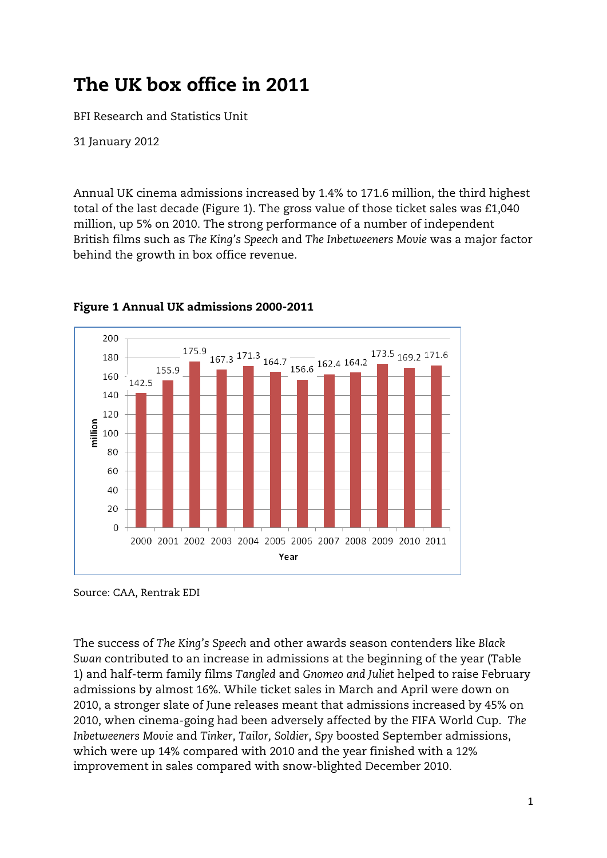# The UK box office in 2011

BFI Research and Statistics Unit

31 January 2012

Annual UK cinema admissions increased by 1.4% to 171.6 million, the third highest total of the last decade (Figure 1). The gross value of those ticket sales was £1,040 million, up 5% on 2010. The strong performance of a number of independent British films such as *The King's Speech* and *The Inbetweeners Movie* was a major factor behind the growth in box office revenue.



# Figure 1 Annual UK admissions 2000-2011

The success of *The King's Speech* and other awards season contenders like *Black Swan* contributed to an increase in admissions at the beginning of the year (Table 1) and half-term family films *Tangled* and *Gnomeo and Juliet* helped to raise February admissions by almost 16%. While ticket sales in March and April were down on 2010, a stronger slate of June releases meant that admissions increased by 45% on 2010, when cinema-going had been adversely affected by the FIFA World Cup. *The Inbetweeners Movie* and *Tinker, Tailor, Soldier, Spy* boosted September admissions, which were up 14% compared with 2010 and the year finished with a 12% improvement in sales compared with snow-blighted December 2010.

Source: CAA, Rentrak EDI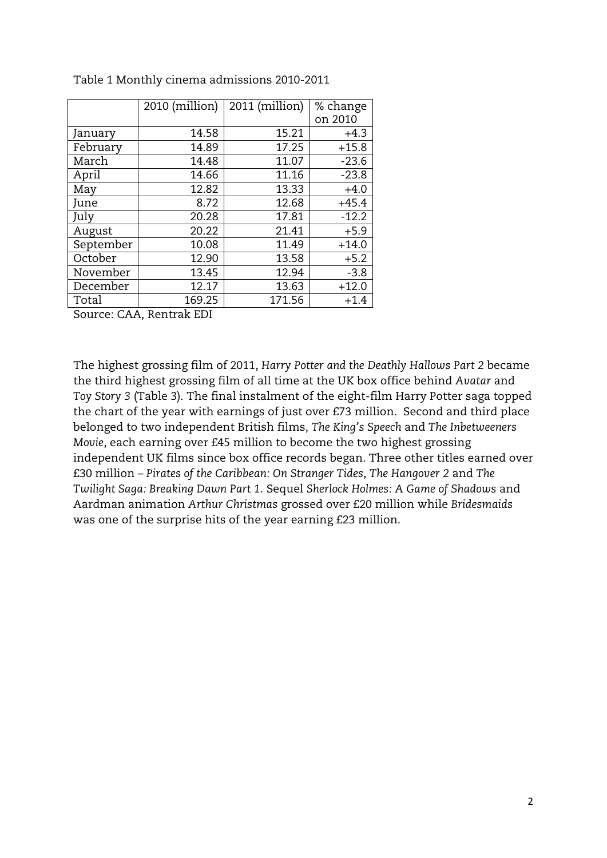|           | 2010 (million) | 2011 (million) | % change |  |
|-----------|----------------|----------------|----------|--|
|           |                |                | on 2010  |  |
| January   | 14.58          | 15.21          | $+4.3$   |  |
| February  | 14.89          | 17.25          | $+15.8$  |  |
| March     | 14.48          | 11.07          | $-23.6$  |  |
| April     | 14.66          | 11.16          | $-23.8$  |  |
| May       | 12.82          | 13.33          | $+4.0$   |  |
| June      | 8.72           | 12.68          | $+45.4$  |  |
| July      | 20.28          | 17.81          | $-12.2$  |  |
| August    | 20.22          | 21.41          | $+5.9$   |  |
| September | 10.08          | 11.49          | $+14.0$  |  |
| October   | 12.90          | 13.58          | $+5.2$   |  |
| November  | 13.45          | 12.94          | $-3.8$   |  |
| December  | 12.17          | 13.63          | $+12.0$  |  |
| Total     | 169.25         | 171.56         | $+1.4$   |  |

Table 1 Monthly cinema admissions 2010-2011

Source: CAA, Rentrak EDI

The highest grossing film of 2011, *Harry Potter and the Deathly Hallows Part 2* became the third highest grossing film of all time at the UK box office behind *Avatar* and *Toy Story 3* (Table 3). The final instalment of the eight-film Harry Potter saga topped the chart of the year with earnings of just over £73 million. Second and third place belonged to two independent British films, *The King's Speech* and *The Inbetweeners Movie*, each earning over £45 million to become the two highest grossing independent UK films since box office records began. Three other titles earned over £30 million – *Pirates of the Caribbean: On Stranger Tides*, *The Hangover 2* and *The Twilight Saga: Breaking Dawn Part 1*. Sequel *Sherlock Holmes: A Game of Shadows* and Aardman animation *Arthur Christmas* grossed over £20 million while *Bridesmaids* was one of the surprise hits of the year earning £23 million.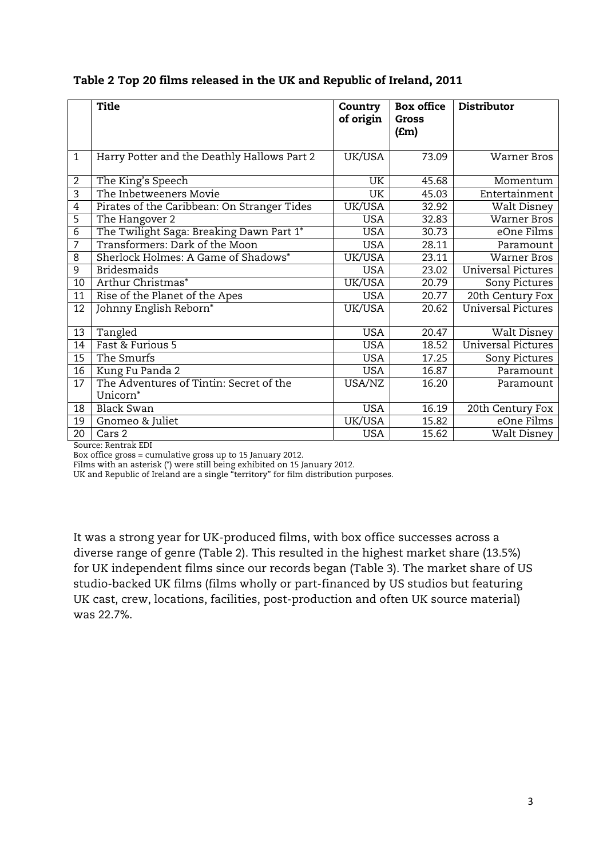Table 2 Top 20 films released in the UK and Republic of Ireland, 2011

|                | <b>Title</b>                                | <b>Country</b> | <b>Box office</b> | Distributor        |
|----------------|---------------------------------------------|----------------|-------------------|--------------------|
|                |                                             | of origin      | Gross             |                    |
|                |                                             |                | ( <b>Em</b> )     |                    |
|                |                                             |                |                   |                    |
| $\mathbf{1}$   | Harry Potter and the Deathly Hallows Part 2 | UK/USA         | 73.09             | Warner Bros        |
|                |                                             |                |                   |                    |
| $\overline{2}$ | The King's Speech                           | UK.            | 45.68             | Momentum           |
| 3              | The Inbetweeners Movie                      | <b>UK</b>      | 45.03             | Entertainment      |
| 4              | Pirates of the Caribbean: On Stranger Tides | UK/USA         | 32.92             | Walt Disney        |
| 5              | The Hangover 2                              | <b>USA</b>     | 32.83             | <b>Warner Bros</b> |
| 6              | The Twilight Saga: Breaking Dawn Part 1*    | <b>USA</b>     | 30.73             | eOne Films         |
| 7              | Transformers: Dark of the Moon              | <b>USA</b>     | 28.11             | Paramount          |
| 8              | Sherlock Holmes: A Game of Shadows*         | UK/USA         | 23.11             | <b>Warner Bros</b> |
| 9              | <b>Bridesmaids</b>                          | USA            | 23.02             | Universal Pictures |
| 10             | Arthur Christmas*                           | UK/USA         | 20.79             | Sony Pictures      |
| 11             | Rise of the Planet of the Apes              | <b>USA</b>     | 20.77             | 20th Century Fox   |
| 12             | Johnny English Reborn*                      | UK/USA         | 20.62             | Universal Pictures |
|                |                                             |                |                   |                    |
| 13             | Tangled                                     | <b>USA</b>     | 20.47             | Walt Disney        |
| 14             | Fast & Furious 5                            | <b>USA</b>     | 18.52             | Universal Pictures |
| 15             | The Smurfs                                  | <b>USA</b>     | 17.25             | Sony Pictures      |
| 16             | Kung Fu Panda 2                             | <b>USA</b>     | 16.87             | Paramount          |
| 17             | The Adventures of Tintin: Secret of the     | USA/NZ         | 16.20             | Paramount          |
|                | Unicorn <sup>*</sup>                        |                |                   |                    |
| 18             | <b>Black Swan</b>                           | <b>USA</b>     | 16.19             | 20th Century Fox   |
| 19             | Gnomeo & Juliet                             | UK/USA         | 15.82             | eOne Films         |
| 20             | Cars 2                                      | <b>USA</b>     | 15.62             | Walt Disney        |

Source: Rentrak EDI

Box office gross = cumulative gross up to 15 January 2012.

Films with an asterisk (\*) were still being exhibited on 15 January 2012.

UK and Republic of Ireland are a single "territory" for film distribution purposes.

It was a strong year for UK-produced films, with box office successes across a diverse range of genre (Table 2). This resulted in the highest market share (13.5%) for UK independent films since our records began (Table 3). The market share of US studio-backed UK films (films wholly or part-financed by US studios but featuring UK cast, crew, locations, facilities, post-production and often UK source material) was 22.7%.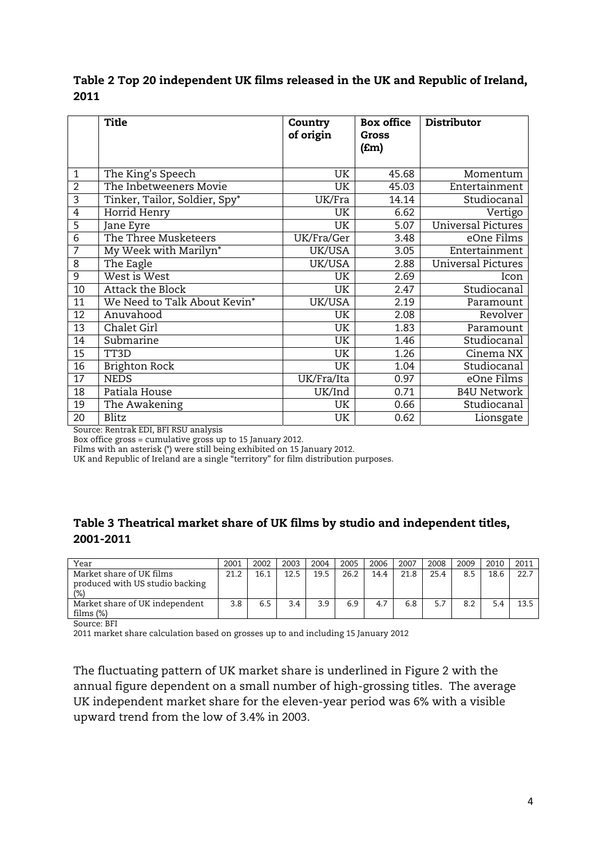|                 | <b>Title</b>                  | Country<br>of origin | <b>Box office</b><br>Gross<br>(£m) | <b>Distributor</b>        |
|-----------------|-------------------------------|----------------------|------------------------------------|---------------------------|
| $\mathbf{1}$    | The King's Speech             | UK                   | 45.68                              | Momentum                  |
| $\overline{2}$  | The Inbetweeners Movie        | UK                   | 45.03                              | Entertainment             |
| 3               | Tinker, Tailor, Soldier, Spy* | UK/Fra               | 14.14                              | Studiocanal               |
| 4               | Horrid Henry                  | UK                   | 6.62                               | Vertigo                   |
| 5               | Jane Eyre                     | UK                   | 5.07                               | <b>Universal Pictures</b> |
| $\overline{6}$  | The Three Musketeers          | UK/Fra/Ger           | 3.48                               | eOne Films                |
| 7               | My Week with Marilyn*         | UK/USA               | 3.05                               | Entertainment             |
| 8               | The Eagle                     | UK/USA               | 2.88                               | <b>Universal Pictures</b> |
| 9               | West is West                  | UK                   | 2.69                               | Icon                      |
| 10              | Attack the Block              | UK                   | 2.47                               | Studiocanal               |
| 11              | We Need to Talk About Kevin*  | UK/USA               | 2.19                               | Paramount                 |
| 12              | Anuvahood                     | UK                   | 2.08                               | Revolver                  |
| 13              | Chalet Girl                   | UK                   | 1.83                               | Paramount                 |
| 14              | Submarine                     | UK                   | 1.46                               | Studiocanal               |
| $\overline{15}$ | TT3D                          | UK                   | 1.26                               | Cinema NX                 |
| 16              | Brighton Rock                 | UK                   | 1.04                               | Studiocanal               |
| 17              | <b>NEDS</b>                   | UK/Fra/Ita           | 0.97                               | eOne Films                |
| 18              | Patiala House                 | UK/Ind               | 0.71                               | <b>B4U Network</b>        |
| 19              | The Awakening                 | UK                   | 0.66                               | Studiocanal               |
| 20              | <b>Blitz</b>                  | UK                   | 0.62                               | Lionsgate                 |

# Table 2 Top 20 independent UK films released in the UK and Republic of Ireland, 2011

Source: Rentrak EDI, BFI RSU analysis

Box office gross = cumulative gross up to 15 January 2012.

Films with an asterisk (\*) were still being exhibited on 15 January 2012.

UK and Republic of Ireland are a single "territory" for film distribution purposes.

## Table 3 Theatrical market share of UK films by studio and independent titles, 2001-2011

| Year                                                               | 2001 | 2002 | 2003 | 2004 | 2005 | 2006 | 2007 | 2008 | 2009 | 2010 | 2011 |
|--------------------------------------------------------------------|------|------|------|------|------|------|------|------|------|------|------|
| Market share of UK films<br>produced with US studio backing<br>(%) | 21.2 | 16.1 | 12.5 | 19.5 | 26.2 | 14.4 | 21.8 | 25.4 | 8.5  | 18.6 | 22.7 |
| Market share of UK independent<br>films $(\%)$                     | 3.8  |      | 3.4  | 3.9  | 6.9  | 4.7  | 6.8  |      | 8.2  | 5.4  | 13.5 |

Source: BFI

2011 market share calculation based on grosses up to and including 15 January 2012

The fluctuating pattern of UK market share is underlined in Figure 2 with the annual figure dependent on a small number of high-grossing titles. The average UK independent market share for the eleven-year period was 6% with a visible upward trend from the low of 3.4% in 2003.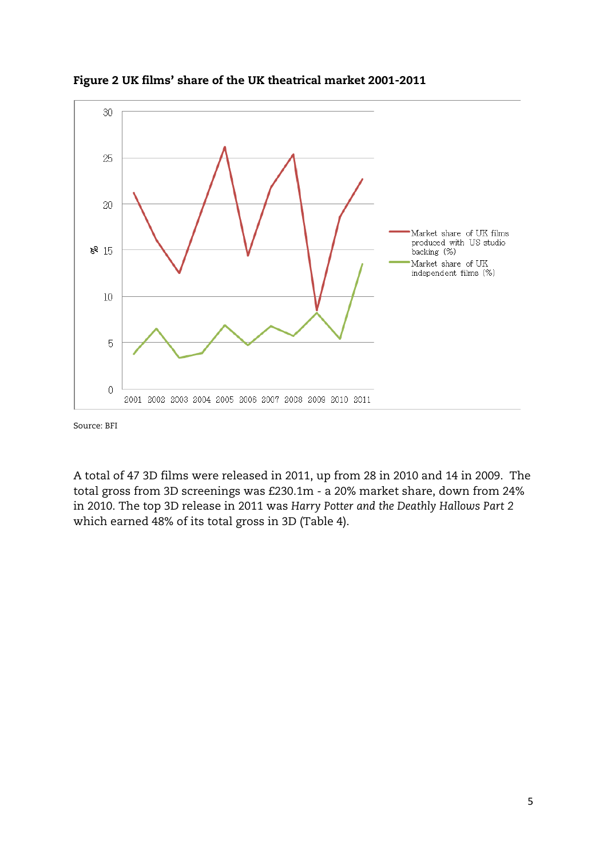

Figure 2 UK films' share of the UK theatrical market 2001-2011

Source: BFI

A total of 47 3D films were released in 2011, up from 28 in 2010 and 14 in 2009. The total gross from 3D screenings was £230.1m - a 20% market share, down from 24% in 2010. The top 3D release in 2011 was *Harry Potter and the Deathly Hallows Part 2*  which earned 48% of its total gross in 3D (Table 4).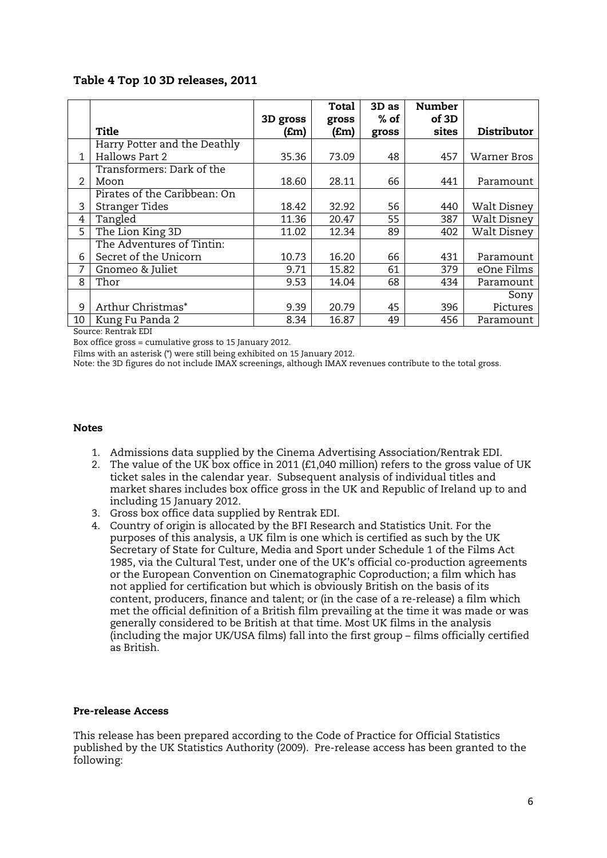## Table 4 Top 10 3D releases, 2011

|                |                              |          | Total | $3D$ as | <b>Number</b> |             |
|----------------|------------------------------|----------|-------|---------|---------------|-------------|
|                |                              | 3D gross | gross | $%$ of  | of 3D         |             |
|                | Title                        | (£m)     | f(m)  | gross   | sites         | Distributor |
|                | Harry Potter and the Deathly |          |       |         |               |             |
| $\mathbf{1}$   | <b>Hallows Part 2</b>        | 35.36    | 73.09 | 48      | 457           | Warner Bros |
|                | Transformers: Dark of the    |          |       |         |               |             |
| $\mathfrak{D}$ | Moon                         | 18.60    | 28.11 | 66      | 441           | Paramount   |
|                | Pirates of the Caribbean: On |          |       |         |               |             |
| 3              | <b>Stranger Tides</b>        | 18.42    | 32.92 | 56      | 440           | Walt Disney |
| 4              | Tangled                      | 11.36    | 20.47 | 55      | 387           | Walt Disney |
| 5              | The Lion King 3D             | 11.02    | 12.34 | 89      | 402           | Walt Disney |
|                | The Adventures of Tintin:    |          |       |         |               |             |
| 6              | Secret of the Unicorn        | 10.73    | 16.20 | 66      | 431           | Paramount   |
| 7              | Gnomeo & Juliet              | 9.71     | 15.82 | 61      | 379           | eOne Films  |
| 8              | Thor                         | 9.53     | 14.04 | 68      | 434           | Paramount   |
|                |                              |          |       |         |               | Sony        |
| 9              | Arthur Christmas*            | 9.39     | 20.79 | 45      | 396           | Pictures    |
| 10             | Kung Fu Panda 2              | 8.34     | 16.87 | 49      | 456           | Paramount   |

Source: Rentrak EDI

Box office gross = cumulative gross to 15 January 2012.

Films with an asterisk (\*) were still being exhibited on 15 January 2012.

Note: the 3D figures do not include IMAX screenings, although IMAX revenues contribute to the total gross.

#### Notes

- 1. Admissions data supplied by the Cinema Advertising Association/Rentrak EDI.
- 2. The value of the UK box office in 2011 (£1,040 million) refers to the gross value of UK ticket sales in the calendar year. Subsequent analysis of individual titles and market shares includes box office gross in the UK and Republic of Ireland up to and including 15 January 2012.
- 3. Gross box office data supplied by Rentrak EDI.
- 4. Country of origin is allocated by the BFI Research and Statistics Unit. For the purposes of this analysis, a UK film is one which is certified as such by the UK Secretary of State for Culture, Media and Sport under Schedule 1 of the Films Act 1985, via the Cultural Test, under one of the UK's official co-production agreements or the European Convention on Cinematographic Coproduction; a film which has not applied for certification but which is obviously British on the basis of its content, producers, finance and talent; or (in the case of a re-release) a film which met the official definition of a British film prevailing at the time it was made or was generally considered to be British at that time. Most UK films in the analysis (including the major UK/USA films) fall into the first group – films officially certified as British.

#### Pre-release Access

This release has been prepared according to the Code of Practice for Official Statistics published by the UK Statistics Authority (2009). Pre-release access has been granted to the following: